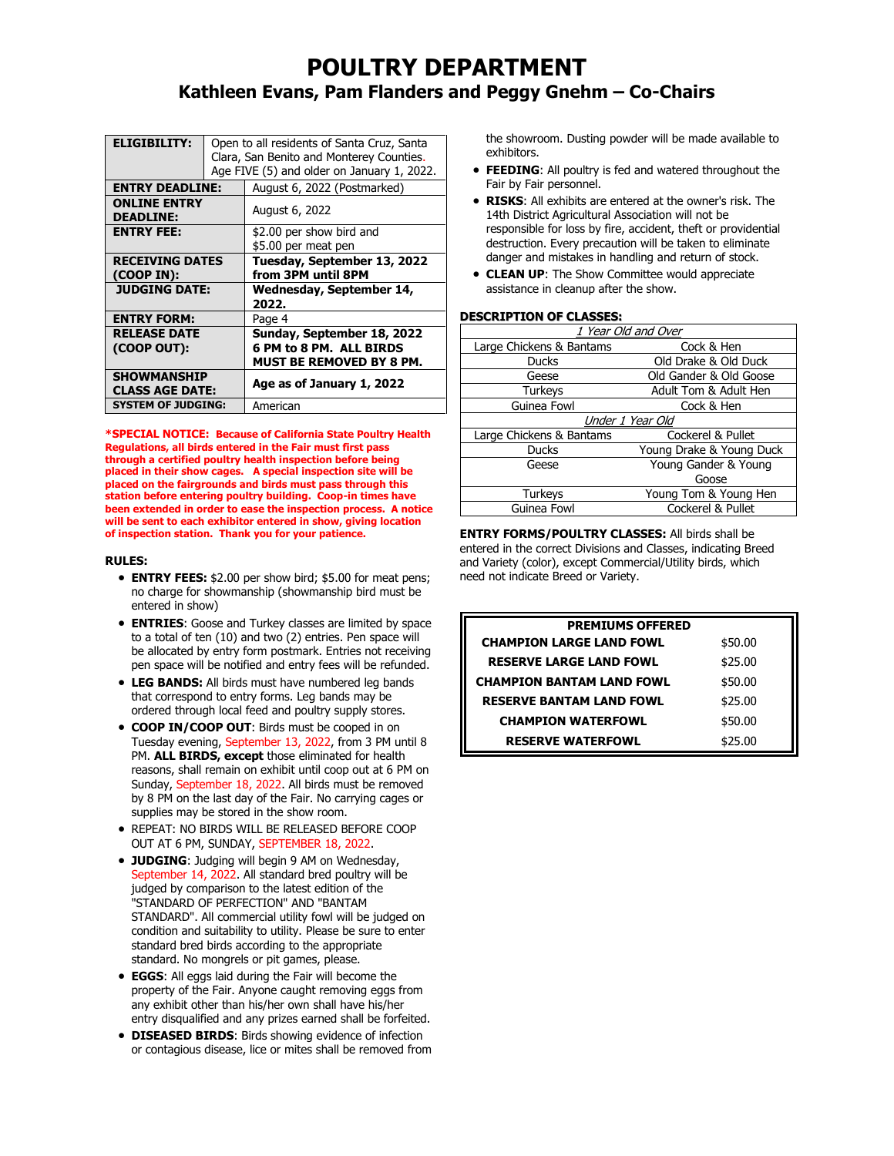# **POULTRY DEPARTMENT Kathleen Evans, Pam Flanders and Peggy Gnehm – Co-Chairs**

| <b>ELIGIBILITY:</b>                     |  | Open to all residents of Santa Cruz, Santa |  |  |
|-----------------------------------------|--|--------------------------------------------|--|--|
|                                         |  | Clara, San Benito and Monterey Counties.   |  |  |
|                                         |  | Age FIVE (5) and older on January 1, 2022. |  |  |
| <b>ENTRY DEADLINE:</b>                  |  | August 6, 2022 (Postmarked)                |  |  |
| <b>ONLINE ENTRY</b><br><b>DEADLINE:</b> |  | August 6, 2022                             |  |  |
| <b>ENTRY FEE:</b>                       |  | \$2.00 per show bird and                   |  |  |
|                                         |  | \$5.00 per meat pen                        |  |  |
|                                         |  |                                            |  |  |
| <b>RECEIVING DATES</b>                  |  | Tuesday, September 13, 2022                |  |  |
| (COOP IN):                              |  | from 3PM until 8PM                         |  |  |
| <b>JUDGING DATE:</b>                    |  | Wednesday, September 14,                   |  |  |
|                                         |  | 2022.                                      |  |  |
| <b>ENTRY FORM:</b>                      |  | Page 4                                     |  |  |
| <b>RELEASE DATE</b>                     |  | Sunday, September 18, 2022                 |  |  |
| (COOP OUT):                             |  | 6 PM to 8 PM. ALL BIRDS                    |  |  |
|                                         |  | <b>MUST BE REMOVED BY 8 PM.</b>            |  |  |
| <b>SHOWMANSHIP</b>                      |  | Age as of January 1, 2022                  |  |  |
| <b>CLASS AGE DATE:</b>                  |  |                                            |  |  |
| <b>SYSTEM OF JUDGING:</b>               |  | American                                   |  |  |

**\*SPECIAL NOTICE: Because of California State Poultry Health Regulations, all birds entered in the Fair must first pass through a certified poultry health inspection before being placed in their show cages. A special inspection site will be placed on the fairgrounds and birds must pass through this station before entering poultry building. Coop-in times have been extended in order to ease the inspection process. A notice will be sent to each exhibitor entered in show, giving location of inspection station. Thank you for your patience.**

#### **RULES:**

- **ENTRY FEES:** \$2.00 per show bird; \$5.00 for meat pens; no charge for showmanship (showmanship bird must be entered in show)
- **ENTRIES**: Goose and Turkey classes are limited by space to a total of ten (10) and two (2) entries. Pen space will be allocated by entry form postmark. Entries not receiving pen space will be notified and entry fees will be refunded.
- **LEG BANDS:** All birds must have numbered leg bands that correspond to entry forms. Leg bands may be ordered through local feed and poultry supply stores.
- **COOP IN/COOP OUT**: Birds must be cooped in on Tuesday evening, September 13, 2022, from 3 PM until 8 PM. **ALL BIRDS, except** those eliminated for health reasons, shall remain on exhibit until coop out at 6 PM on Sunday, September 18, 2022. All birds must be removed by 8 PM on the last day of the Fair. No carrying cages or supplies may be stored in the show room.
- REPEAT: NO BIRDS WILL BE RELEASED BEFORE COOP OUT AT 6 PM, SUNDAY, SEPTEMBER 18, 2022.
- **JUDGING**: Judging will begin 9 AM on Wednesday, September 14, 2022. All standard bred poultry will be judged by comparison to the latest edition of the "STANDARD OF PERFECTION" AND "BANTAM STANDARD". All commercial utility fowl will be judged on condition and suitability to utility. Please be sure to enter standard bred birds according to the appropriate standard. No mongrels or pit games, please.
- **EGGS**: All eggs laid during the Fair will become the property of the Fair. Anyone caught removing eggs from any exhibit other than his/her own shall have his/her entry disqualified and any prizes earned shall be forfeited.
- **DISEASED BIRDS**: Birds showing evidence of infection or contagious disease, lice or mites shall be removed from

the showroom. Dusting powder will be made available to exhibitors.

- **FEEDING**: All poultry is fed and watered throughout the Fair by Fair personnel.
- **RISKS**: All exhibits are entered at the owner's risk. The 14th District Agricultural Association will not be responsible for loss by fire, accident, theft or providential destruction. Every precaution will be taken to eliminate danger and mistakes in handling and return of stock.
- **CLEAN UP**: The Show Committee would appreciate assistance in cleanup after the show.

#### **DESCRIPTION OF CLASSES:**

| 1 Year Old and Over      |                          |  |  |  |  |  |  |
|--------------------------|--------------------------|--|--|--|--|--|--|
| Large Chickens & Bantams | Cock & Hen               |  |  |  |  |  |  |
| Ducks                    | Old Drake & Old Duck     |  |  |  |  |  |  |
| Geese                    | Old Gander & Old Goose   |  |  |  |  |  |  |
| <b>Turkeys</b>           | Adult Tom & Adult Hen    |  |  |  |  |  |  |
| Guinea Fowl              | Cock & Hen               |  |  |  |  |  |  |
|                          | Under 1 Year Old         |  |  |  |  |  |  |
| Large Chickens & Bantams | Cockerel & Pullet        |  |  |  |  |  |  |
| <b>Ducks</b>             | Young Drake & Young Duck |  |  |  |  |  |  |
| Geese                    | Young Gander & Young     |  |  |  |  |  |  |
|                          | Goose                    |  |  |  |  |  |  |
| <b>Turkeys</b>           | Young Tom & Young Hen    |  |  |  |  |  |  |
| Guinea Fowl              | Cockerel & Pullet        |  |  |  |  |  |  |

**ENTRY FORMS/POULTRY CLASSES:** All birds shall be entered in the correct Divisions and Classes, indicating Breed and Variety (color), except Commercial/Utility birds, which need not indicate Breed or Variety.

| <b>PREMIUMS OFFERED</b>          |         |  |  |  |  |  |
|----------------------------------|---------|--|--|--|--|--|
| <b>CHAMPION LARGE LAND FOWL</b>  | \$50.00 |  |  |  |  |  |
| <b>RESERVE LARGE LAND FOWL</b>   | \$25.00 |  |  |  |  |  |
| <b>CHAMPION BANTAM LAND FOWL</b> | \$50.00 |  |  |  |  |  |
| <b>RESERVE BANTAM LAND FOWL</b>  | \$25.00 |  |  |  |  |  |
| <b>CHAMPION WATERFOWL</b>        | \$50.00 |  |  |  |  |  |
| <b>RESERVE WATERFOWL</b>         | \$25.00 |  |  |  |  |  |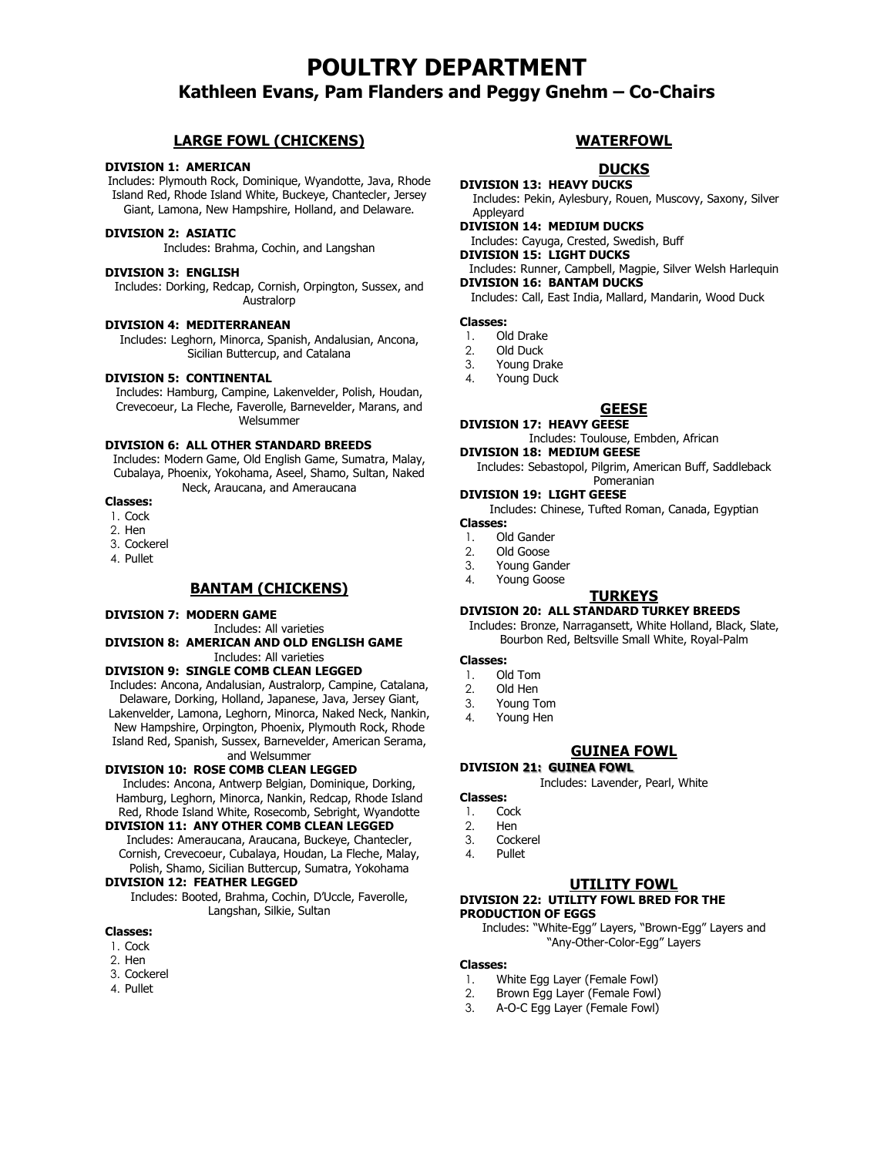# **POULTRY DEPARTMENT**

# **Kathleen Evans, Pam Flanders and Peggy Gnehm – Co-Chairs**

### **LARGE FOWL (CHICKENS)**

#### **DIVISION 1: AMERICAN**

Includes: Plymouth Rock, Dominique, Wyandotte, Java, Rhode Island Red, Rhode Island White, Buckeye, Chantecler, Jersey Giant, Lamona, New Hampshire, Holland, and Delaware.

#### **DIVISION 2: ASIATIC**

Includes: Brahma, Cochin, and Langshan

#### **DIVISION 3: ENGLISH**

Includes: Dorking, Redcap, Cornish, Orpington, Sussex, and Australorp

#### **DIVISION 4: MEDITERRANEAN**

Includes: Leghorn, Minorca, Spanish, Andalusian, Ancona, Sicilian Buttercup, and Catalana

#### **DIVISION 5: CONTINENTAL**

Includes: Hamburg, Campine, Lakenvelder, Polish, Houdan, Crevecoeur, La Fleche, Faverolle, Barnevelder, Marans, and Welsummer

#### **DIVISION 6: ALL OTHER STANDARD BREEDS**

Includes: Modern Game, Old English Game, Sumatra, Malay, Cubalaya, Phoenix, Yokohama, Aseel, Shamo, Sultan, Naked Neck, Araucana, and Ameraucana

- **Classes:**
- 1. Cock
- 2. Hen
- 3. Cockerel
- 4. Pullet

#### **BANTAM (CHICKENS)**

#### **DIVISION 7: MODERN GAME**

Includes: All varieties

#### **DIVISION 8: AMERICAN AND OLD ENGLISH GAME** Includes: All varieties

#### **DIVISION 9: SINGLE COMB CLEAN LEGGED**

Includes: Ancona, Andalusian, Australorp, Campine, Catalana, Delaware, Dorking, Holland, Japanese, Java, Jersey Giant, Lakenvelder, Lamona, Leghorn, Minorca, Naked Neck, Nankin, New Hampshire, Orpington, Phoenix, Plymouth Rock, Rhode Island Red, Spanish, Sussex, Barnevelder, American Serama,

# and Welsummer

**DIVISION 10: ROSE COMB CLEAN LEGGED** Includes: Ancona, Antwerp Belgian, Dominique, Dorking, Hamburg, Leghorn, Minorca, Nankin, Redcap, Rhode Island Red, Rhode Island White, Rosecomb, Sebright, Wyandotte

#### **DIVISION 11: ANY OTHER COMB CLEAN LEGGED**

Includes: Ameraucana, Araucana, Buckeye, Chantecler, Cornish, Crevecoeur, Cubalaya, Houdan, La Fleche, Malay, Polish, Shamo, Sicilian Buttercup, Sumatra, Yokohama

#### **DIVISION 12: FEATHER LEGGED**

Includes: Booted, Brahma, Cochin, D'Uccle, Faverolle, Langshan, Silkie, Sultan

#### **Classes:**

- 1. Cock
- 2. Hen
- 3. Cockerel
- 4. Pullet

#### **WATERFOWL**

# **DUCKS**

**DIVISION 13: HEAVY DUCKS** Includes: Pekin, Aylesbury, Rouen, Muscovy, Saxony, Silver Appleyard

- **DIVISION 14: MEDIUM DUCKS** Includes: Cayuga, Crested, Swedish, Buff
	-

# **DIVISION 15: LIGHT DUCKS**

Includes: Runner, Campbell, Magpie, Silver Welsh Harlequin **DIVISION 16: BANTAM DUCKS**

Includes: Call, East India, Mallard, Mandarin, Wood Duck

#### **Classes:**

- 1. Old Drake
- 2. Old Duck
- 3. Young Drake
- 4. Young Duck

#### **GEESE**

#### **DIVISION 17: HEAVY GEESE**

Includes: Toulouse, Embden, African

### **DIVISION 18: MEDIUM GEESE**

Includes: Sebastopol, Pilgrim, American Buff, Saddleback Pomeranian

#### **DIVISION 19: LIGHT GEESE**

Includes: Chinese, Tufted Roman, Canada, Egyptian

- **Classes:**
- 1. Old Gander
- 2. Old Goose
- 3. Young Gander
- 4. Young Goose

#### **TURKEYS**

#### **DIVISION 20: ALL STANDARD TURKEY BREEDS**

Includes: Bronze, Narragansett, White Holland, Black, Slate, Bourbon Red, Beltsville Small White, Royal-Palm

#### **Classes:**

- 1. Old Tom
- 2. Old Hen
- 3. Young Tom
- 4. Young Hen

#### **GUINEA FOWL**

**DIVISION 21: GUINEA FOWL** Includes: Lavender, Pearl, White

### **Classes:**

- 1. Cock<br>2. Hen 2. Hen
- 3. Cockerel
- 4. Pullet
- 

#### **UTILITY FOWL**

#### **DIVISION 22: UTILITY FOWL BRED FOR THE PRODUCTION OF EGGS**

Includes: "White-Egg" Layers, "Brown-Egg" Layers and "Any-Other-Color-Egg" Layers

#### **Classes:**

- 1. White Egg Layer (Female Fowl)
- 2. Brown Egg Layer (Female Fowl)
- 3. A-O-C Egg Layer (Female Fowl)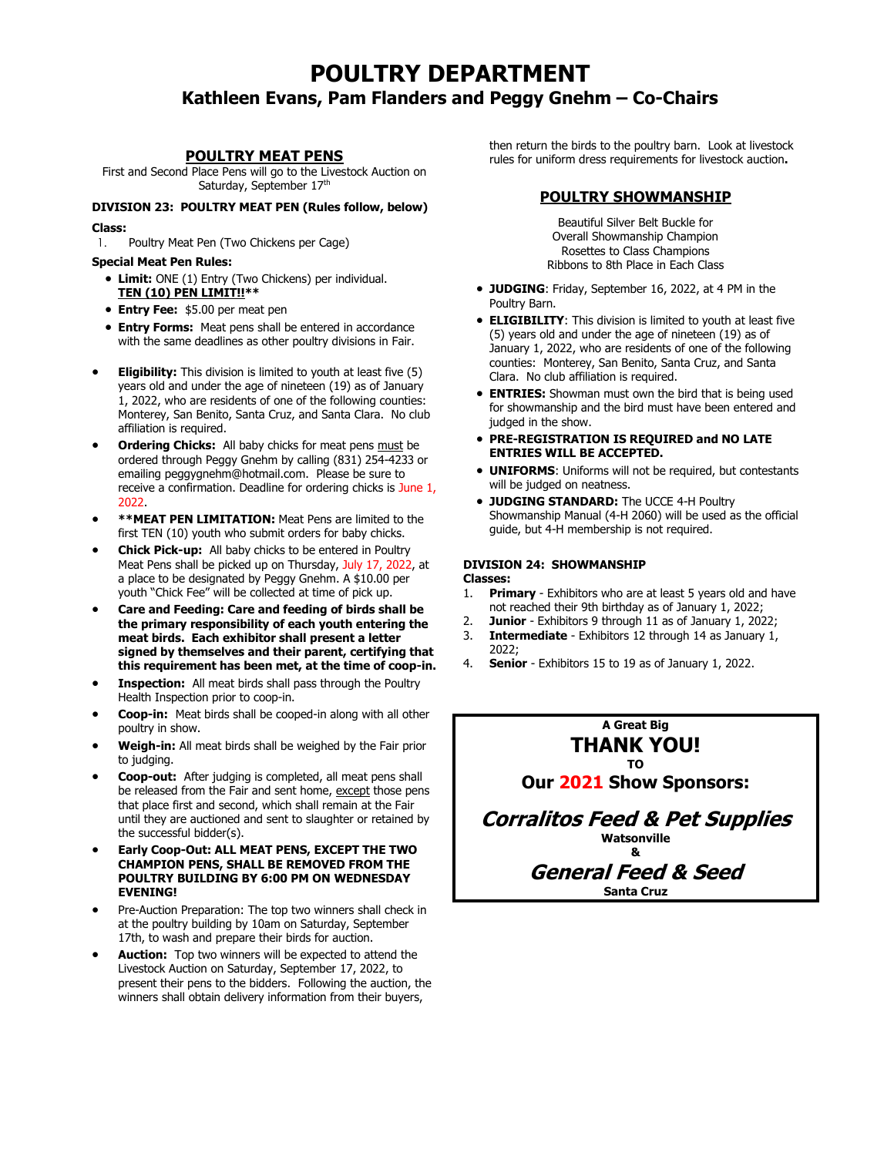# **POULTRY DEPARTMENT Kathleen Evans, Pam Flanders and Peggy Gnehm – Co-Chairs**

#### **POULTRY MEAT PENS**

First and Second Place Pens will go to the Livestock Auction on Saturday, September 17<sup>th</sup>

# **DIVISION 23: POULTRY MEAT PEN (Rules follow, below)**

#### **Class:**

1. Poultry Meat Pen (Two Chickens per Cage)

#### **Special Meat Pen Rules:**

- **Limit:** ONE (1) Entry (Two Chickens) per individual. **TEN (10) PEN LIMIT!!\*\***
- **Entry Fee:** \$5.00 per meat pen
- **Entry Forms:** Meat pens shall be entered in accordance with the same deadlines as other poultry divisions in Fair.
- **Eligibility:** This division is limited to youth at least five (5) years old and under the age of nineteen (19) as of January 1, 2022, who are residents of one of the following counties: Monterey, San Benito, Santa Cruz, and Santa Clara. No club affiliation is required.
- **Ordering Chicks:** All baby chicks for meat pens must be ordered through Peggy Gnehm by calling (831) 254-4233 or emailing peggygnehm@hotmail.com. Please be sure to receive a confirmation. Deadline for ordering chicks is June 1, 2022.
- **\*\*MEAT PEN LIMITATION:** Meat Pens are limited to the first TEN (10) youth who submit orders for baby chicks.
- **Chick Pick-up:** All baby chicks to be entered in Poultry Meat Pens shall be picked up on Thursday, July 17, 2022, at a place to be designated by Peggy Gnehm. A \$10.00 per youth "Chick Fee" will be collected at time of pick up.
- **Care and Feeding: Care and feeding of birds shall be the primary responsibility of each youth entering the meat birds. Each exhibitor shall present a letter signed by themselves and their parent, certifying that this requirement has been met, at the time of coop-in.**
- **Inspection:** All meat birds shall pass through the Poultry Health Inspection prior to coop-in.
- **Coop-in:** Meat birds shall be cooped-in along with all other poultry in show.
- **Weigh-in:** All meat birds shall be weighed by the Fair prior to judging.
- **Coop-out:** After judging is completed, all meat pens shall be released from the Fair and sent home, except those pens that place first and second, which shall remain at the Fair until they are auctioned and sent to slaughter or retained by the successful bidder(s).
- **Early Coop-Out: ALL MEAT PENS, EXCEPT THE TWO CHAMPION PENS, SHALL BE REMOVED FROM THE POULTRY BUILDING BY 6:00 PM ON WEDNESDAY EVENING!**
- Pre-Auction Preparation: The top two winners shall check in at the poultry building by 10am on Saturday, September 17th, to wash and prepare their birds for auction.
- **Auction:** Top two winners will be expected to attend the Livestock Auction on Saturday, September 17, 2022, to present their pens to the bidders. Following the auction, the winners shall obtain delivery information from their buyers,

then return the birds to the poultry barn. Look at livestock rules for uniform dress requirements for livestock auction**.** 

# **POULTRY SHOWMANSHIP**

Beautiful Silver Belt Buckle for Overall Showmanship Champion Rosettes to Class Champions Ribbons to 8th Place in Each Class

- **JUDGING**: Friday, September 16, 2022, at 4 PM in the Poultry Barn.
- **ELIGIBILITY**: This division is limited to youth at least five (5) years old and under the age of nineteen (19) as of January 1, 2022, who are residents of one of the following counties: Monterey, San Benito, Santa Cruz, and Santa Clara. No club affiliation is required.
- **ENTRIES:** Showman must own the bird that is being used for showmanship and the bird must have been entered and judged in the show.
- **PRE-REGISTRATION IS REQUIRED and NO LATE ENTRIES WILL BE ACCEPTED.**
- **UNIFORMS**: Uniforms will not be required, but contestants will be judged on neatness.
- **JUDGING STANDARD:** The UCCE 4-H Poultry Showmanship Manual (4-H 2060) will be used as the official guide, but 4-H membership is not required.

#### **DIVISION 24: SHOWMANSHIP Classes:**

- **Primary** Exhibitors who are at least 5 years old and have not reached their 9th birthday as of January 1, 2022;
- 2. **Junior** Exhibitors 9 through 11 as of January 1, 2022;
- 3. **Intermediate** Exhibitors 12 through 14 as January 1, 2022;
- 4. **Senior** Exhibitors 15 to 19 as of January 1, 2022.

#### **A Great Big THANK YOU! TO**

**Our 2021 Show Sponsors:**

**Corralitos Feed & Pet Supplies Watsonville &**

**General Feed & Seed**

**Santa Cruz**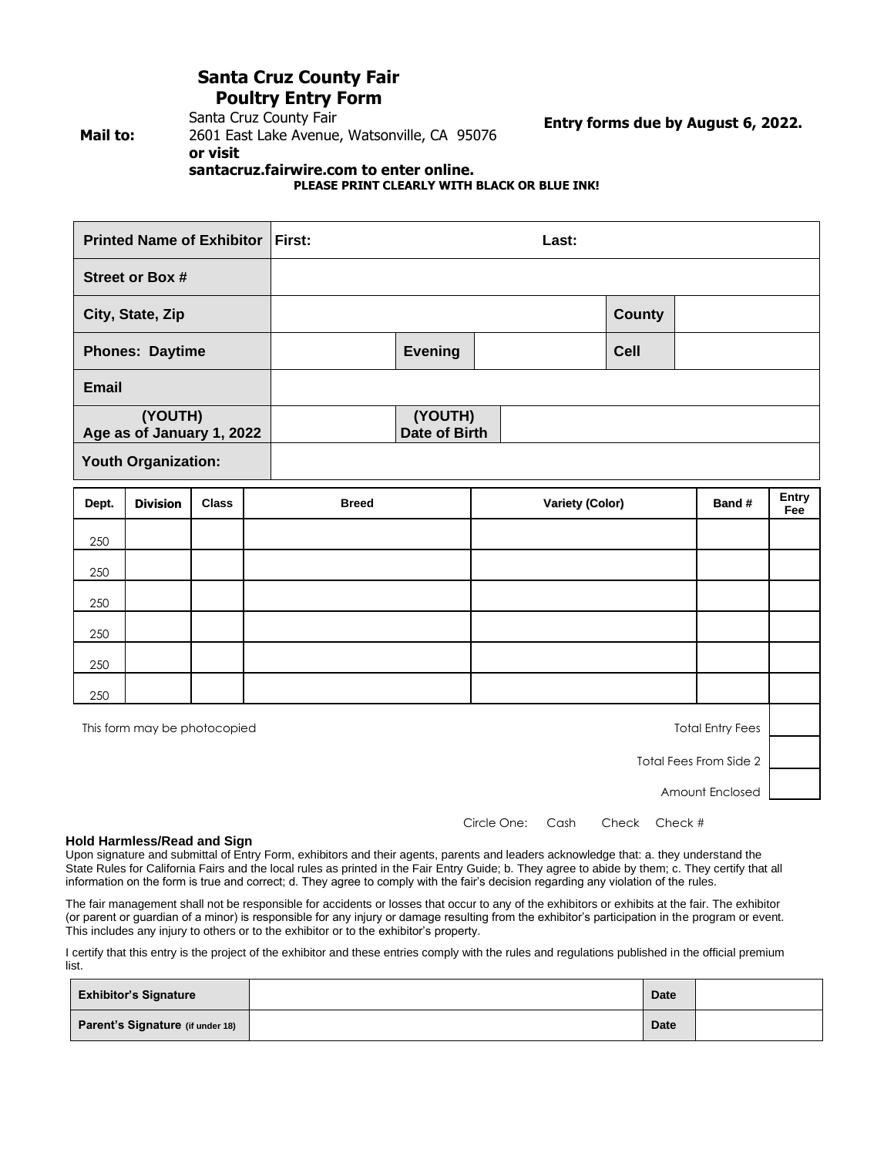# **Santa Cruz County Fair Poultry Entry Form**

**Mail to:**

# Santa Cruz County Fair 2601 East Lake Avenue, Watsonville, CA 95076 **or visit**

**Entry forms due by August 6, 2022.**

**santacruz.fairwire.com to enter online. PLEASE PRINT CLEARLY WITH BLACK OR BLUE INK!**

<span id="page-3-0"></span>

| <b>Printed Name of Exhibitor First:</b> | Last: |                          |  |  |               |  |
|-----------------------------------------|-------|--------------------------|--|--|---------------|--|
| <b>Street or Box #</b>                  |       |                          |  |  |               |  |
| City, State, Zip                        |       |                          |  |  | <b>County</b> |  |
| <b>Phones: Daytime</b>                  |       | <b>Evening</b>           |  |  | <b>Cell</b>   |  |
| <b>Email</b>                            |       |                          |  |  |               |  |
| (YOUTH)<br>Age as of January 1, 2022    |       | (YOUTH)<br>Date of Birth |  |  |               |  |
| <b>Youth Organization:</b>              |       |                          |  |  |               |  |

| Dept. | <b>Division</b>                                         | <b>Class</b> | <b>Breed</b> | <b>Variety (Color)</b> | Band # | Entry<br>Fee |
|-------|---------------------------------------------------------|--------------|--------------|------------------------|--------|--------------|
| 250   |                                                         |              |              |                        |        |              |
| 250   |                                                         |              |              |                        |        |              |
| 250   |                                                         |              |              |                        |        |              |
| 250   |                                                         |              |              |                        |        |              |
| 250   |                                                         |              |              |                        |        |              |
| 250   |                                                         |              |              |                        |        |              |
|       | This form may be photocopied<br><b>Total Entry Fees</b> |              |              |                        |        |              |

Total Fees From Side 2

Amount Enclosed

Circle One: Cash Check Check #

#### **Hold Harmless/Read and Sign**

Upon signature and submittal of Entry Form, exhibitors and their agents, parents and leaders acknowledge that: a. they understand the State Rules for California Fairs and the local rules as printed in the Fair Entry Guide; b. They agree to abide by them; c. They certify that all information on the form is true and correct; d. They agree to comply with the fair's decision regarding any violation of the rules.

The fair management shall not be responsible for accidents or losses that occur to any of the exhibitors or exhibits at the fair. The exhibitor (or parent or guardian of a minor) is responsible for any injury or damage resulting from the exhibitor's participation in the program or event. This includes any injury to others or to the exhibitor or to the exhibitor's property.

I certify that this entry is the project of the exhibitor and these entries comply with the rules and regulations published in the official premium list.

| <b>Exhibitor's Signature</b>     | <b>Date</b> |  |
|----------------------------------|-------------|--|
| Parent's Signature (if under 18) | <b>Date</b> |  |